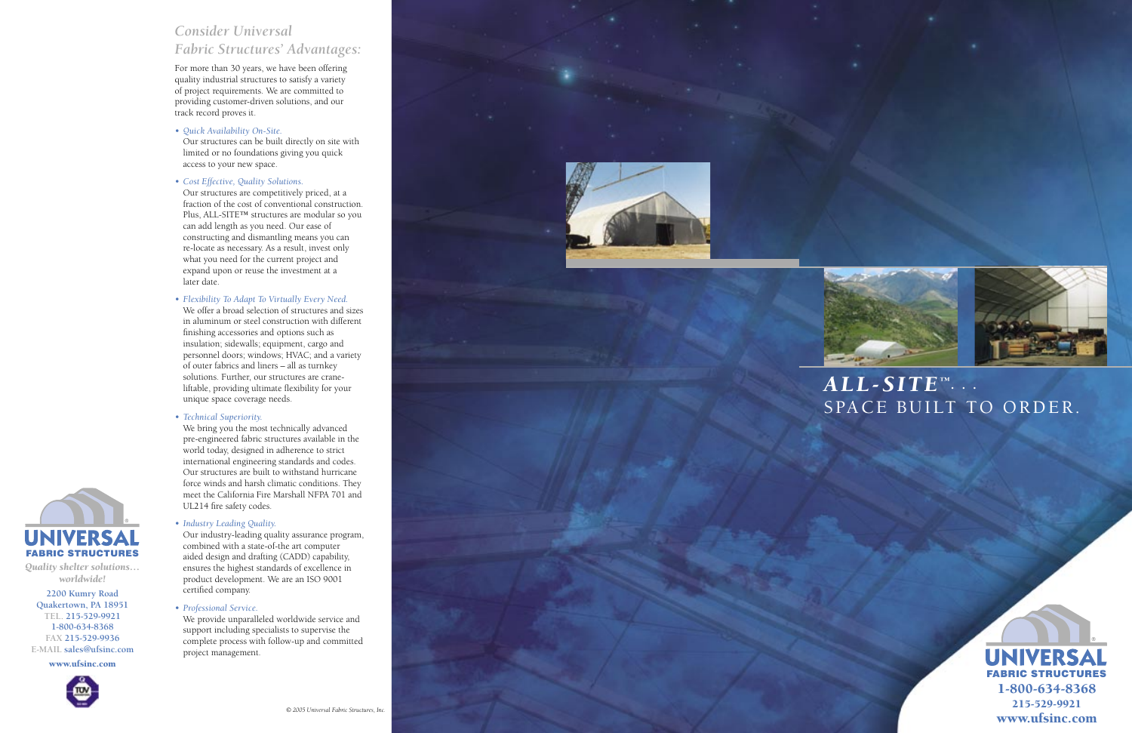*Quality shelter solutions… worldwide!* **2200 Kumry Road Quakertown, PA 18951 TEL. 215-529-9921 1-800-634-8368 FAX 215-529-9936**

**UNIVERSA FABRIC STRUCTURES** 











## *Consider Universal Fabric Structures' Advantages:*

For more than 30 years, we have been offering quality industrial structures to satisfy a variety of project requirements. We are committed to providing customer-driven solutions, and our track record proves it.

*• Quick Availability On-Site.* Our structures can be built directly on site with limited or no foundations giving you quick access to your new space.

*• Cost Effective, Quality Solutions.*

Our structures are competitively priced, at a fraction of the cost of conventional construction. Plus, ALL-SITE™ structures are modular so you can add length as you need. Our ease of constructing and dismantling means you can re-locate as necessary. As a result, invest only what you need for the current project and expand upon or reuse the investment at a later date.

We bring you the most technically advanced pre-engineered fabric structures available in the world today, designed in adherence to strict international engineering standards and codes. Our structures are built to withstand hurricane force winds and harsh climatic conditions. They meet the California Fire Marshall NFPA 701 and UL214 fire safety codes.

*• Flexibility To Adapt To Virtually Every Need.*

We offer a broad selection of structures and sizes in aluminum or steel construction with different finishing accessories and options such as insulation; sidewalls; equipment, cargo and personnel doors; windows; HVAC; and a variety of outer fabrics and liners – all as turnkey solutions. Further, our structures are crane liftable, providing ultimate flexibility for your unique space coverage needs.

*• Technical Superiority.*

*• Industry Leading Quality.*

Our industry-leading quality assurance program, combined with a state-of-the art computer aided design and drafting (CADD) capability, ensures the highest standards of excellence in product development. We are an ISO 9001 certified company.

## *• Professional Service.*

We provide unparalleled worldwide service and support including specialists to supervise the complete process with follow-up and committed project management.



## $\boldsymbol{ALL}\text{-}\boldsymbol{SITE^{\text{-}1}}\cdot\cdot\cdot$ SPACE BUILT TO ORDER.